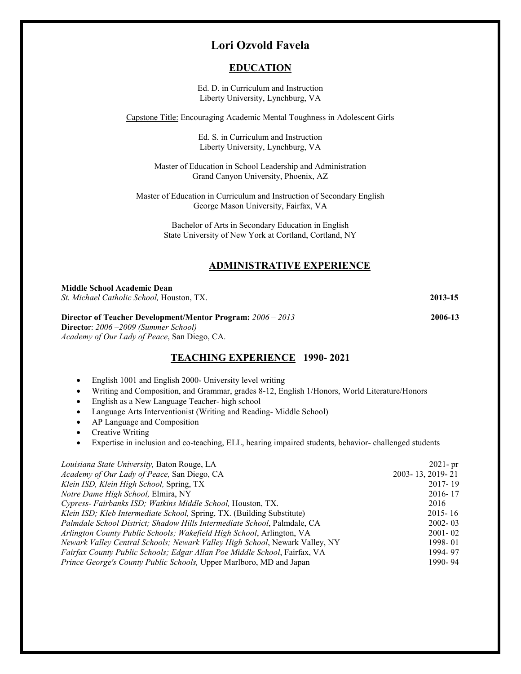# **Lori Ozvold Favela**

## **EDUCATION**

Ed. D. in Curriculum and Instruction Liberty University, Lynchburg, VA

Capstone Title: Encouraging Academic Mental Toughness in Adolescent Girls

Ed. S. in Curriculum and Instruction Liberty University, Lynchburg, VA

Master of Education in School Leadership and Administration Grand Canyon University, Phoenix, AZ

Master of Education in Curriculum and Instruction of Secondary English George Mason University, Fairfax, VA

> Bachelor of Arts in Secondary Education in English State University of New York at Cortland, Cortland, NY

## **ADMINISTRATIVE EXPERIENCE**

| <b>Middle School Academic Dean</b>                                                                                                                                   |         |
|----------------------------------------------------------------------------------------------------------------------------------------------------------------------|---------|
| St. Michael Catholic School, Houston, TX.                                                                                                                            | 2013-15 |
| Director of Teacher Development/Mentor Program: 2006 – 2013<br><b>Director:</b> $2006 - 2009$ (Summer School)<br><i>Academy of Our Lady of Peace, San Diego, CA.</i> | 2006-13 |
| <b>TEACHING EXPERIENCE 1990-2021</b>                                                                                                                                 |         |
| English 1001 and English 2000- University level writing<br>٠                                                                                                         |         |

- Writing and Composition, and Grammar, grades 8-12, English 1/Honors, World Literature/Honors
- English as a New Language Teacher- high school
- Language Arts Interventionist (Writing and Reading- Middle School)
- AP Language and Composition
- Creative Writing

• Expertise in inclusion and co-teaching, ELL, hearing impaired students, behavior- challenged students

| Louisiana State University, Baton Rouge, LA                                 | $2021 - pr$      |
|-----------------------------------------------------------------------------|------------------|
| Academy of Our Lady of Peace, San Diego, CA                                 | 2003-13, 2019-21 |
| Klein ISD, Klein High School, Spring, TX                                    | 2017-19          |
| Notre Dame High School, Elmira, NY                                          | 2016-17          |
| Cypress- Fairbanks ISD; Watkins Middle School, Houston, TX.                 | 2016             |
| Klein ISD; Kleb Intermediate School, Spring, TX. (Building Substitute)      | $2015 - 16$      |
| Palmdale School District; Shadow Hills Intermediate School, Palmdale, CA    | $2002 - 03$      |
| Arlington County Public Schools; Wakefield High School, Arlington, VA       | $2001 - 02$      |
| Newark Valley Central Schools; Newark Valley High School, Newark Valley, NY | 1998-01          |
| Fairfax County Public Schools; Edgar Allan Poe Middle School, Fairfax, VA   | 1994-97          |
| Prince George's County Public Schools, Upper Marlboro, MD and Japan         | 1990-94          |